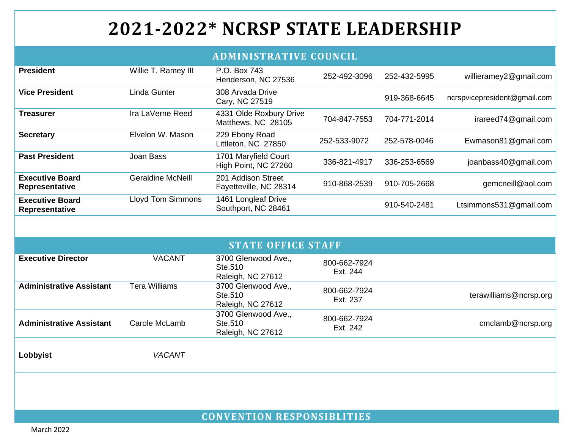## **2021-2022\* NCRSP STATE LEADERSHIP**

## **ADMINISTRATIVE COUNCIL**

| <b>President</b>                         | Willie T. Ramey III      | P.O. Box 743<br>Henderson, NC 27536                 | 252-492-3096                  | 252-432-5995 | willieramey2@gmail.com       |  |
|------------------------------------------|--------------------------|-----------------------------------------------------|-------------------------------|--------------|------------------------------|--|
| <b>Vice President</b>                    | <b>Linda Gunter</b>      | 308 Arvada Drive<br>Cary, NC 27519                  |                               | 919-368-6645 | ncrspvicepresident@gmail.com |  |
| <b>Treasurer</b>                         | Ira LaVerne Reed         | 4331 Olde Roxbury Drive<br>Matthews, NC 28105       | 704-847-7553                  | 704-771-2014 | irareed74@gmail.com          |  |
| <b>Secretary</b>                         | Elvelon W. Mason         | 229 Ebony Road<br>Littleton, NC 27850               | 252-533-9072                  | 252-578-0046 | Ewmason81@gmail.com          |  |
| <b>Past President</b>                    | Joan Bass                | 1701 Maryfield Court<br>High Point, NC 27260        | 336-821-4917                  | 336-253-6569 | joanbass40@gmail.com         |  |
| <b>Executive Board</b><br>Representative | <b>Geraldine McNeill</b> | 201 Addison Street<br>Fayetteville, NC 28314        | 910-868-2539                  | 910-705-2668 | gemcneill@aol.com            |  |
| <b>Executive Board</b><br>Representative | <b>Lloyd Tom Simmons</b> | 1461 Longleaf Drive<br>Southport, NC 28461          |                               | 910-540-2481 | Ltsimmons531@gmail.com       |  |
|                                          |                          |                                                     |                               |              |                              |  |
| <b>STATE OFFICE STAFF</b>                |                          |                                                     |                               |              |                              |  |
| <b>Executive Director</b>                | <b>VACANT</b>            | 3700 Glenwood Ave.,<br>Ste.510<br>Raleigh, NC 27612 | 800-662-7924<br>Ext. 244      |              |                              |  |
| <b>Administrative Assistant</b>          | <b>Tera Williams</b>     | 3700 Glenwood Ave.,<br>Ste.510<br>Raleigh, NC 27612 | 800-662-7924<br>Ext. 237      |              | terawilliams@ncrsp.org       |  |
| <b>Administrative Assistant</b>          | Carole McLamb            | 3700 Glenwood Ave.,<br>Ste.510<br>Raleigh, NC 27612 | 800-662-7924<br>Ext. 242      |              | cmclamb@ncrsp.org            |  |
| Lobbyist                                 | <b>VACANT</b>            |                                                     |                               |              |                              |  |
|                                          |                          |                                                     |                               |              |                              |  |
|                                          |                          |                                                     |                               |              |                              |  |
|                                          |                          |                                                     | CONTINUES ON BROBANCIBI IMIRO |              |                              |  |

**CONVENTION RESPONSIBLITIES**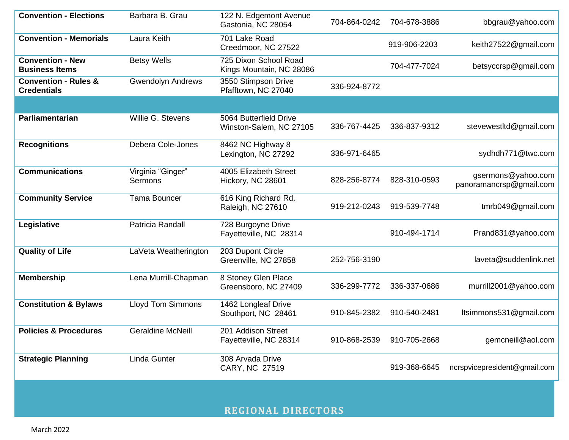| <b>Convention - Elections</b>                         | Barbara B. Grau                     | 122 N. Edgemont Avenue<br>Gastonia, NC 28054      | 704-864-0242 | 704-678-3886 | bbgrau@yahoo.com                              |  |
|-------------------------------------------------------|-------------------------------------|---------------------------------------------------|--------------|--------------|-----------------------------------------------|--|
| <b>Convention - Memorials</b>                         | Laura Keith                         | 701 Lake Road<br>Creedmoor, NC 27522              |              | 919-906-2203 | keith27522@gmail.com                          |  |
| <b>Convention - New</b><br><b>Business Items</b>      | <b>Betsy Wells</b>                  | 725 Dixon School Road<br>Kings Mountain, NC 28086 |              | 704-477-7024 | betsyccrsp@gmail.com                          |  |
| <b>Convention - Rules &amp;</b><br><b>Credentials</b> | <b>Gwendolyn Andrews</b>            | 3550 Stimpson Drive<br>Pfafftown, NC 27040        | 336-924-8772 |              |                                               |  |
|                                                       |                                     |                                                   |              |              |                                               |  |
| Parliamentarian                                       | Willie G. Stevens                   | 5064 Butterfield Drive<br>Winston-Salem, NC 27105 | 336-767-4425 | 336-837-9312 | stevewestltd@gmail.com                        |  |
| <b>Recognitions</b>                                   | Debera Cole-Jones                   | 8462 NC Highway 8<br>Lexington, NC 27292          | 336-971-6465 |              | sydhdh771@twc.com                             |  |
| <b>Communications</b>                                 | Virginia "Ginger"<br><b>Sermons</b> | 4005 Elizabeth Street<br>Hickory, NC 28601        | 828-256-8774 | 828-310-0593 | gsermons@yahoo.com<br>panoramancrsp@gmail.com |  |
| <b>Community Service</b>                              | <b>Tama Bouncer</b>                 | 616 King Richard Rd.<br>Raleigh, NC 27610         | 919-212-0243 | 919-539-7748 | tmrb049@gmail.com                             |  |
| Legislative                                           | Patricia Randall                    | 728 Burgoyne Drive<br>Fayetteville, NC 28314      |              | 910-494-1714 | Prand831@yahoo.com                            |  |
| <b>Quality of Life</b>                                | LaVeta Weatherington                | 203 Dupont Circle<br>Greenville, NC 27858         | 252-756-3190 |              | laveta@suddenlink.net                         |  |
| <b>Membership</b>                                     | Lena Murrill-Chapman                | 8 Stoney Glen Place<br>Greensboro, NC 27409       | 336-299-7772 | 336-337-0686 | murrill2001@yahoo.com                         |  |
| <b>Constitution &amp; Bylaws</b>                      | <b>Lloyd Tom Simmons</b>            | 1462 Longleaf Drive<br>Southport, NC 28461        | 910-845-2382 | 910-540-2481 | Itsimmons531@gmail.com                        |  |
| <b>Policies &amp; Procedures</b>                      | <b>Geraldine McNeill</b>            | 201 Addison Street<br>Fayetteville, NC 28314      | 910-868-2539 | 910-705-2668 | gemcneill@aol.com                             |  |
| <b>Strategic Planning</b>                             | <b>Linda Gunter</b>                 | 308 Arvada Drive<br>CARY, NC 27519                |              | 919-368-6645 | ncrspvicepresident@gmail.com                  |  |
| <b>REGIONAL DIRECTORS</b>                             |                                     |                                                   |              |              |                                               |  |